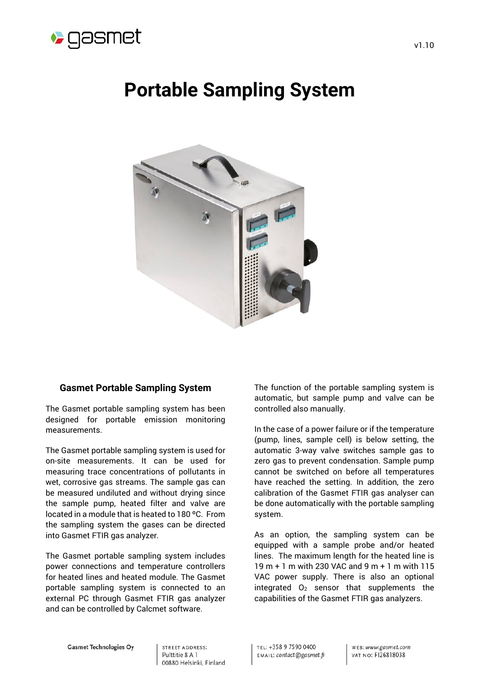

# **Portable Sampling System**



# **Gasmet Portable Sampling System**

The Gasmet portable sampling system has been designed for portable emission monitoring measurements.

The Gasmet portable sampling system is used for on-site measurements. It can be used for measuring trace concentrations of pollutants in wet, corrosive gas streams. The sample gas can be measured undiluted and without drying since the sample pump, heated filter and valve are located in a module that is heated to 180 ºC. From the sampling system the gases can be directed into Gasmet FTIR gas analyzer.

The Gasmet portable sampling system includes power connections and temperature controllers for heated lines and heated module. The Gasmet portable sampling system is connected to an external PC through Gasmet FTIR gas analyzer and can be controlled by Calcmet software.

The function of the portable sampling system is automatic, but sample pump and valve can be controlled also manually.

In the case of a power failure or if the temperature (pump, lines, sample cell) is below setting, the automatic 3-way valve switches sample gas to zero gas to prevent condensation. Sample pump cannot be switched on before all temperatures have reached the setting. In addition, the zero calibration of the Gasmet FTIR gas analyser can be done automatically with the portable sampling system.

As an option, the sampling system can be equipped with a sample probe and/or heated lines. The maximum length for the heated line is 19 m + 1 m with 230 VAC and 9 m + 1 m with 115 VAC power supply. There is also an optional integrated  $O<sub>2</sub>$  sensor that supplements the capabilities of the Gasmet FTIR gas analyzers.